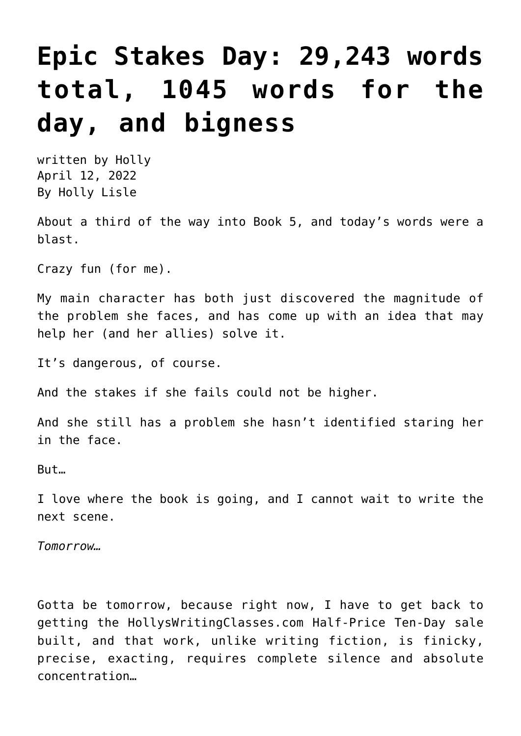## **[Epic Stakes Day: 29,243 words](https://hollylisle.com/epic-stakes-day-29243-words-total-1045-words-for-the-day-and-bigness/) [total, 1045 words for the](https://hollylisle.com/epic-stakes-day-29243-words-total-1045-words-for-the-day-and-bigness/) [day, and bigness](https://hollylisle.com/epic-stakes-day-29243-words-total-1045-words-for-the-day-and-bigness/)**

written by Holly April 12, 2022 [By Holly Lisle](https://hollylisle.com)

About a third of the way into Book 5, and today's words were a blast.

Crazy fun (for me).

My main character has both just discovered the magnitude of the problem she faces, and has come up with an idea that may help her (and her allies) solve it.

It's dangerous, of course.

And the stakes if she fails could not be higher.

And she still has a problem she hasn't identified staring her in the face.

But…

I love where the book is going, and I cannot wait to write the next scene.

*Tomorrow…*

Gotta be tomorrow, because right now, I have to get back to getting the HollysWritingClasses.com Half-Price Ten-Day sale built, and that work, unlike writing fiction, is finicky, precise, exacting, requires complete silence and absolute concentration…